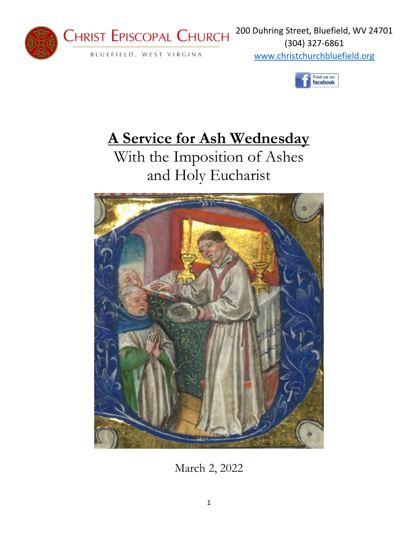



# **A Service for Ash Wednesday**

With the Imposition of Ashes and Holy Eucharist



March 2, 2022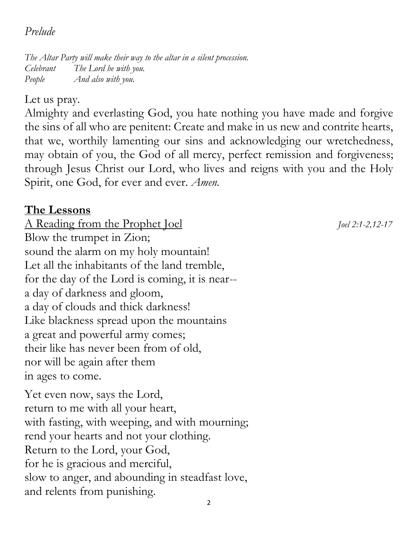## *Prelude*

*The Altar Party will make their way to the altar in a silent procession. Celebrant The Lord be with you. People And also with you.*

# Let us pray.

Almighty and everlasting God, you hate nothing you have made and forgive the sins of all who are penitent: Create and make in us new and contrite hearts, that we, worthily lamenting our sins and acknowledging our wretchedness, may obtain of you, the God of all mercy, perfect remission and forgiveness; through Jesus Christ our Lord, who lives and reigns with you and the Holy Spirit, one God, for ever and ever. *Amen.*

# **The Lessons**

A Reading from the Prophet Joel*Joel 2:1-2,12-17* Blow the trumpet in Zion; sound the alarm on my holy mountain! Let all the inhabitants of the land tremble, for the day of the Lord is coming, it is near- a day of darkness and gloom, a day of clouds and thick darkness! Like blackness spread upon the mountains a great and powerful army comes; their like has never been from of old, nor will be again after them in ages to come.

Yet even now, says the Lord, return to me with all your heart, with fasting, with weeping, and with mourning; rend your hearts and not your clothing. Return to the Lord, your God, for he is gracious and merciful, slow to anger, and abounding in steadfast love, and relents from punishing.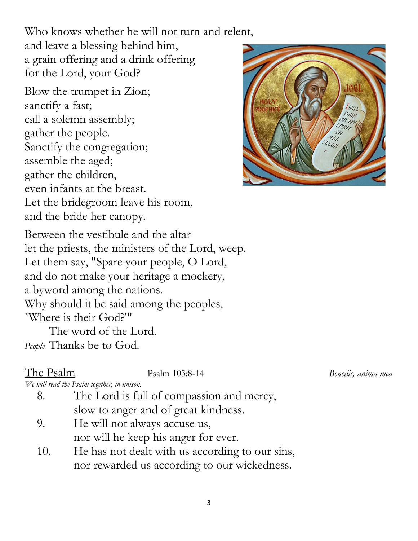Who knows whether he will not turn and relent, and leave a blessing behind him, a grain offering and a drink offering for the Lord, your God?

Blow the trumpet in Zion; sanctify a fast; call a solemn assembly; gather the people. Sanctify the congregation; assemble the aged; gather the children, even infants at the breast. Let the bridegroom leave his room, and the bride her canopy.



Between the vestibule and the altar let the priests, the ministers of the Lord, weep. Let them say, "Spare your people, O Lord, and do not make your heritage a mockery, a byword among the nations. Why should it be said among the peoples, `Where is their God?'"

The word of the Lord. *People* Thanks be to God.

*We will read the Psalm together, in unison.*

- 8. The Lord is full of compassion and mercy, slow to anger and of great kindness.
- 9. He will not always accuse us, nor will he keep his anger for ever.
- 10. He has not dealt with us according to our sins, nor rewarded us according to our wickedness.

The Psalm Psalm 103:8-14 *Benedic, anima mea*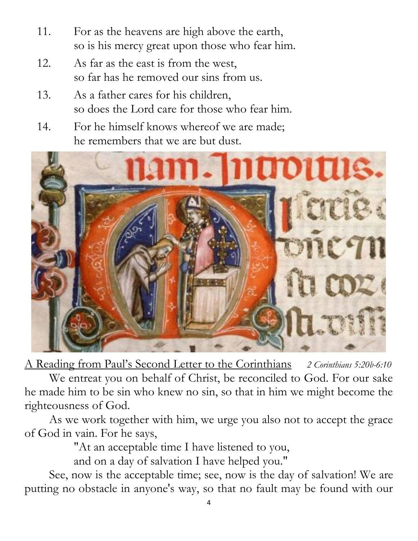- 11. For as the heavens are high above the earth, so is his mercy great upon those who fear him.
- 12. As far as the east is from the west, so far has he removed our sins from us.
- 13. As a father cares for his children, so does the Lord care for those who fear him.
- 14. For he himself knows whereof we are made; he remembers that we are but dust.



A Reading from Paul's Second Letter to the Corinthians *2 Corinthians 5:20b-6:10* We entreat you on behalf of Christ, be reconciled to God. For our sake he made him to be sin who knew no sin, so that in him we might become the righteousness of God.

As we work together with him, we urge you also not to accept the grace of God in vain. For he says,

"At an acceptable time I have listened to you,

and on a day of salvation I have helped you."

See, now is the acceptable time; see, now is the day of salvation! We are putting no obstacle in anyone's way, so that no fault may be found with our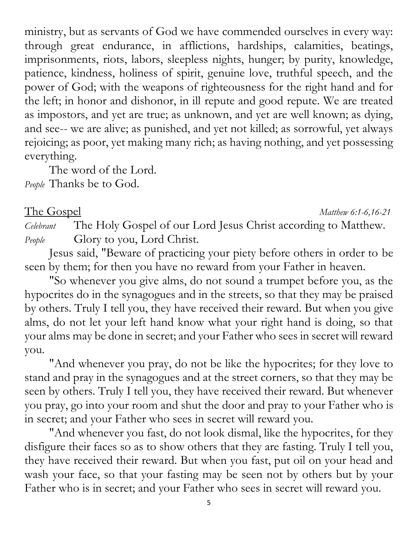ministry, but as servants of God we have commended ourselves in every way: through great endurance, in afflictions, hardships, calamities, beatings, imprisonments, riots, labors, sleepless nights, hunger; by purity, knowledge, patience, kindness, holiness of spirit, genuine love, truthful speech, and the power of God; with the weapons of righteousness for the right hand and for the left; in honor and dishonor, in ill repute and good repute. We are treated as impostors, and yet are true; as unknown, and yet are well known; as dying, and see-- we are alive; as punished, and yet not killed; as sorrowful, yet always rejoicing; as poor, yet making many rich; as having nothing, and yet possessing everything.

The word of the Lord. *People* Thanks be to God.

## The Gospel *Matthew 6:1-6,16-21*

*Celebrant* The Holy Gospel of our Lord Jesus Christ according to Matthew. *People* Glory to you, Lord Christ.

Jesus said, "Beware of practicing your piety before others in order to be seen by them; for then you have no reward from your Father in heaven.

"So whenever you give alms, do not sound a trumpet before you, as the hypocrites do in the synagogues and in the streets, so that they may be praised by others. Truly I tell you, they have received their reward. But when you give alms, do not let your left hand know what your right hand is doing, so that your alms may be done in secret; and your Father who sees in secret will reward you.

"And whenever you pray, do not be like the hypocrites; for they love to stand and pray in the synagogues and at the street corners, so that they may be seen by others. Truly I tell you, they have received their reward. But whenever you pray, go into your room and shut the door and pray to your Father who is in secret; and your Father who sees in secret will reward you.

"And whenever you fast, do not look dismal, like the hypocrites, for they disfigure their faces so as to show others that they are fasting. Truly I tell you, they have received their reward. But when you fast, put oil on your head and wash your face, so that your fasting may be seen not by others but by your Father who is in secret; and your Father who sees in secret will reward you.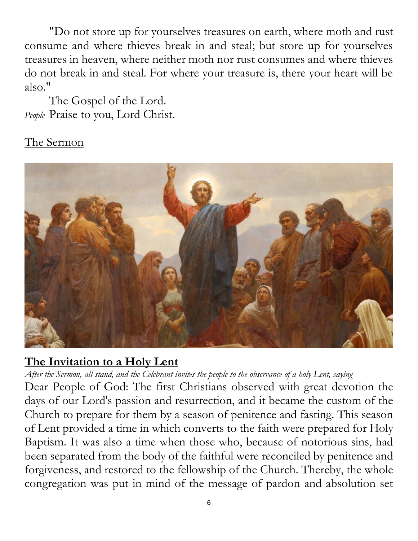"Do not store up for yourselves treasures on earth, where moth and rust consume and where thieves break in and steal; but store up for yourselves treasures in heaven, where neither moth nor rust consumes and where thieves do not break in and steal. For where your treasure is, there your heart will be also."

The Gospel of the Lord. *People* Praise to you, Lord Christ.

## The Sermon



# **The Invitation to a Holy Lent**

*After the Sermon, all stand, and the Celebrant invites the people to the observance of a holy Lent, saying*

Dear People of God: The first Christians observed with great devotion the days of our Lord's passion and resurrection, and it became the custom of the Church to prepare for them by a season of penitence and fasting. This season of Lent provided a time in which converts to the faith were prepared for Holy Baptism. It was also a time when those who, because of notorious sins, had been separated from the body of the faithful were reconciled by penitence and forgiveness, and restored to the fellowship of the Church. Thereby, the whole congregation was put in mind of the message of pardon and absolution set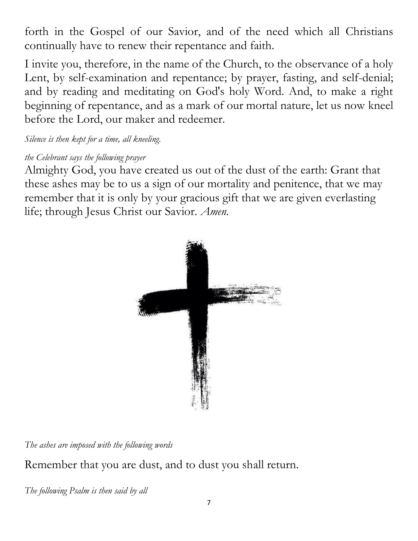forth in the Gospel of our Savior, and of the need which all Christians continually have to renew their repentance and faith.

I invite you, therefore, in the name of the Church, to the observance of a holy Lent, by self-examination and repentance; by prayer, fasting, and self-denial; and by reading and meditating on God's holy Word. And, to make a right beginning of repentance, and as a mark of our mortal nature, let us now kneel before the Lord, our maker and redeemer.

*Silence is then kept for a time, all kneeling.*

## *the Celebrant says the following prayer*

Almighty God, you have created us out of the dust of the earth: Grant that these ashes may be to us a sign of our mortality and penitence, that we may remember that it is only by your gracious gift that we are given everlasting life; through Jesus Christ our Savior. *Amen.*



*The ashes are imposed with the following words*

Remember that you are dust, and to dust you shall return.

*The following Psalm is then said by all*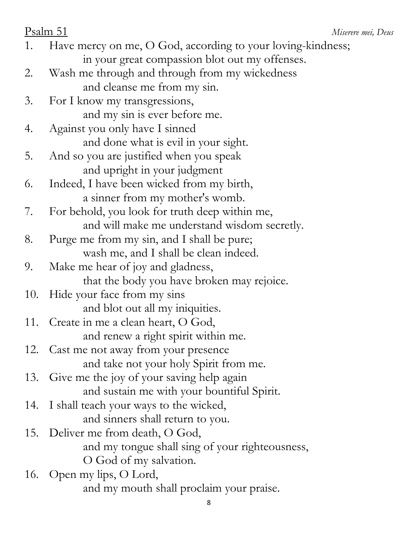- 1. Have mercy on me, O God, according to your loving-kindness; in your great compassion blot out my offenses.
- 2. Wash me through and through from my wickedness and cleanse me from my sin.
- 3. For I know my transgressions, and my sin is ever before me.
- 4. Against you only have I sinned and done what is evil in your sight.
- 5. And so you are justified when you speak and upright in your judgment
- 6. Indeed, I have been wicked from my birth, a sinner from my mother's womb.
- 7. For behold, you look for truth deep within me, and will make me understand wisdom secretly.
- 8. Purge me from my sin, and I shall be pure; wash me, and I shall be clean indeed.
- 9. Make me hear of joy and gladness, that the body you have broken may rejoice.
- 10. Hide your face from my sins and blot out all my iniquities.
- 11. Create in me a clean heart, O God, and renew a right spirit within me.
- 12. Cast me not away from your presence and take not your holy Spirit from me.
- 13. Give me the joy of your saving help again and sustain me with your bountiful Spirit.
- 14. I shall teach your ways to the wicked, and sinners shall return to you.
- 15. Deliver me from death, O God, and my tongue shall sing of your righteousness, O God of my salvation.
- 16. Open my lips, O Lord, and my mouth shall proclaim your praise.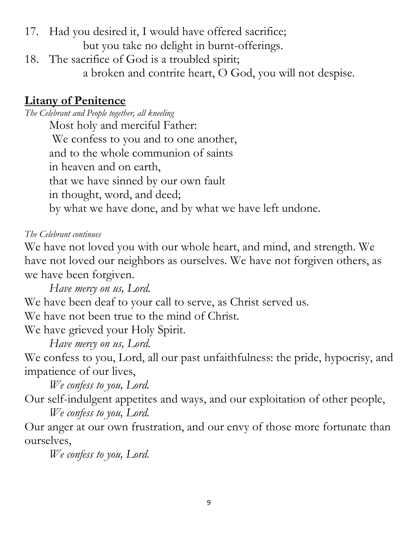17. Had you desired it, I would have offered sacrifice; but you take no delight in burnt-offerings.

18. The sacrifice of God is a troubled spirit; a broken and contrite heart, O God, you will not despise.

# **Litany of Penitence**

*The Celebrant and People together, all kneeling*

Most holy and merciful Father: We confess to you and to one another, and to the whole communion of saints in heaven and on earth, that we have sinned by our own fault in thought, word, and deed; by what we have done, and by what we have left undone.

# *The Celebrant continues*

We have not loved you with our whole heart, and mind, and strength. We have not loved our neighbors as ourselves. We have not forgiven others, as we have been forgiven.

 *Have mercy on us, Lord.*

We have been deaf to your call to serve, as Christ served us.

We have not been true to the mind of Christ.

We have grieved your Holy Spirit.

*Have mercy on us, Lord.*

We confess to you, Lord, all our past unfaithfulness: the pride, hypocrisy, and impatience of our lives,

*We confess to you, Lord.*

Our self-indulgent appetites and ways, and our exploitation of other people, *We confess to you, Lord.*

Our anger at our own frustration, and our envy of those more fortunate than ourselves,

*We confess to you, Lord.*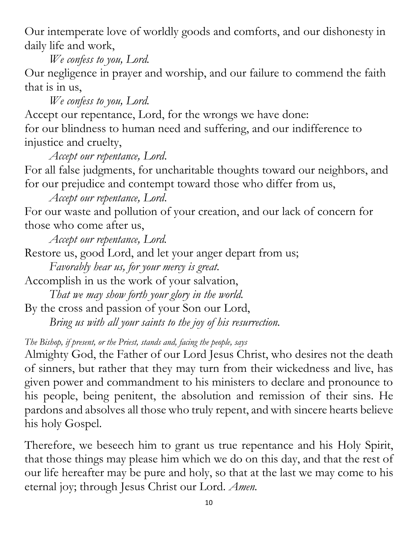Our intemperate love of worldly goods and comforts, and our dishonesty in daily life and work,

*We confess to you, Lord.*

Our negligence in prayer and worship, and our failure to commend the faith that is in us,

*We confess to you, Lord.*

Accept our repentance, Lord, for the wrongs we have done:

for our blindness to human need and suffering, and our indifference to injustice and cruelty,

*Accept our repentance, Lord*.

For all false judgments, for uncharitable thoughts toward our neighbors, and for our prejudice and contempt toward those who differ from us,

*Accept our repentance, Lord*.

For our waste and pollution of your creation, and our lack of concern for those who come after us,

*Accept our repentance, Lord.*

Restore us, good Lord, and let your anger depart from us;

*Favorably hear us, for your mercy is great.*

Accomplish in us the work of your salvation,

*That we may show forth your glory in the world.*

By the cross and passion of your Son our Lord,

*Bring us with all your saints to the joy of his resurrection.*

*The Bishop, if present, or the Priest, stands and, facing the people, says*

Almighty God, the Father of our Lord Jesus Christ, who desires not the death of sinners, but rather that they may turn from their wickedness and live, has given power and commandment to his ministers to declare and pronounce to his people, being penitent, the absolution and remission of their sins. He pardons and absolves all those who truly repent, and with sincere hearts believe his holy Gospel.

Therefore, we beseech him to grant us true repentance and his Holy Spirit, that those things may please him which we do on this day, and that the rest of our life hereafter may be pure and holy, so that at the last we may come to his eternal joy; through Jesus Christ our Lord. *Amen.*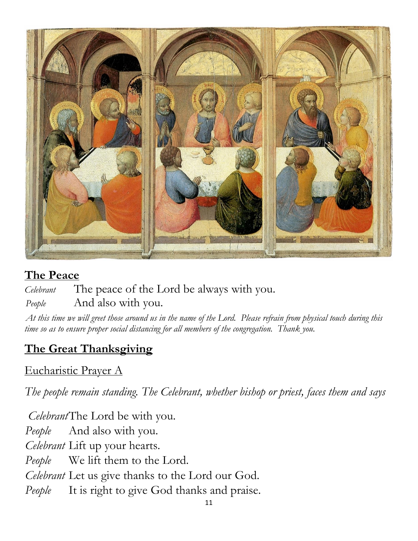

# **The Peace**

*Celebrant* The peace of the Lord be always with you. *People* And also with you.

*At this time we will greet those around us in the name of the Lord. Please refrain from physical touch during this time so as to ensure proper social distancing for all members of the congregation. Thank you.* 

# **The Great Thanksgiving**

Eucharistic Prayer A

*The people remain standing. The Celebrant, whether bishop or priest, faces them and says*

*Celebrant*The Lord be with you.

*People* And also with you.

*Celebrant* Lift up your hearts.

*People* We lift them to the Lord.

*Celebrant* Let us give thanks to the Lord our God.

*People* It is right to give God thanks and praise.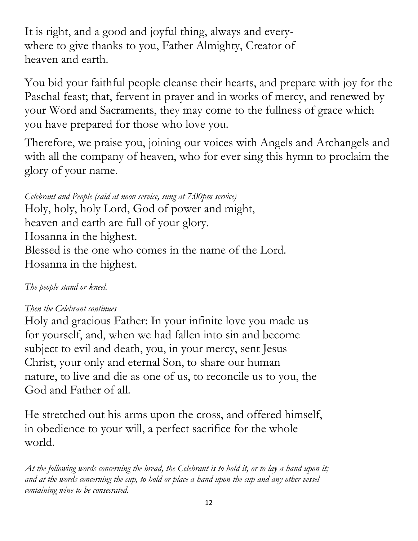It is right, and a good and joyful thing, always and everywhere to give thanks to you, Father Almighty, Creator of heaven and earth.

You bid your faithful people cleanse their hearts, and prepare with joy for the Paschal feast; that, fervent in prayer and in works of mercy, and renewed by your Word and Sacraments, they may come to the fullness of grace which you have prepared for those who love you.

Therefore, we praise you, joining our voices with Angels and Archangels and with all the company of heaven, who for ever sing this hymn to proclaim the glory of your name.

*Celebrant and People (said at noon service, sung at 7:00pm service)* Holy, holy, holy Lord, God of power and might, heaven and earth are full of your glory. Hosanna in the highest. Blessed is the one who comes in the name of the Lord. Hosanna in the highest.

## *The people stand or kneel.*

## *Then the Celebrant continues*

Holy and gracious Father: In your infinite love you made us for yourself, and, when we had fallen into sin and become subject to evil and death, you, in your mercy, sent Jesus Christ, your only and eternal Son, to share our human nature, to live and die as one of us, to reconcile us to you, the God and Father of all.

He stretched out his arms upon the cross, and offered himself, in obedience to your will, a perfect sacrifice for the whole world.

*At the following words concerning the bread, the Celebrant is to hold it, or to lay a hand upon it; and at the words concerning the cup, to hold or place a hand upon the cup and any other vessel containing wine to be consecrated.*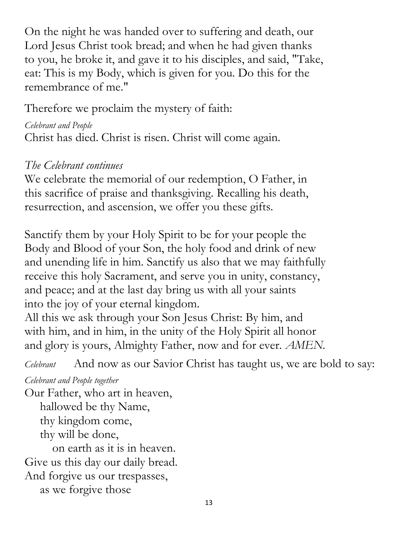On the night he was handed over to suffering and death, our Lord Jesus Christ took bread; and when he had given thanks to you, he broke it, and gave it to his disciples, and said, "Take, eat: This is my Body, which is given for you. Do this for the remembrance of me."

Therefore we proclaim the mystery of faith:

*Celebrant and People* Christ has died. Christ is risen. Christ will come again.

# *The Celebrant continues*

We celebrate the memorial of our redemption, O Father, in this sacrifice of praise and thanksgiving. Recalling his death, resurrection, and ascension, we offer you these gifts.

Sanctify them by your Holy Spirit to be for your people the Body and Blood of your Son, the holy food and drink of new and unending life in him. Sanctify us also that we may faithfully receive this holy Sacrament, and serve you in unity, constancy, and peace; and at the last day bring us with all your saints into the joy of your eternal kingdom.

All this we ask through your Son Jesus Christ: By him, and with him, and in him, in the unity of the Holy Spirit all honor and glory is yours, Almighty Father, now and for ever. *AMEN.*

*Celebrant* And now as our Savior Christ has taught us, we are bold to say:

*Celebrant and People together* 

Our Father, who art in heaven, hallowed be thy Name, thy kingdom come, thy will be done,

 on earth as it is in heaven. Give us this day our daily bread. And forgive us our trespasses, as we forgive those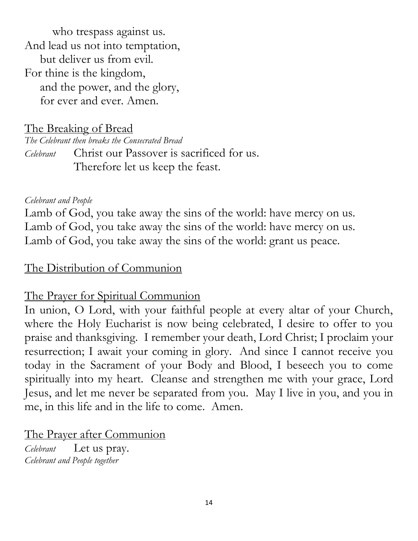who trespass against us. And lead us not into temptation, but deliver us from evil. For thine is the kingdom, and the power, and the glory, for ever and ever. Amen.

## The Breaking of Bread

*The Celebrant then breaks the Consecrated Bread Celebrant* Christ our Passover is sacrificed for us. Therefore let us keep the feast.

### *Celebrant and People*

Lamb of God, you take away the sins of the world: have mercy on us. Lamb of God, you take away the sins of the world: have mercy on us. Lamb of God, you take away the sins of the world: grant us peace.

## The Distribution of Communion

## The Prayer for Spiritual Communion

In union, O Lord, with your faithful people at every altar of your Church, where the Holy Eucharist is now being celebrated, I desire to offer to you praise and thanksgiving. I remember your death, Lord Christ; I proclaim your resurrection; I await your coming in glory. And since I cannot receive you today in the Sacrament of your Body and Blood, I beseech you to come spiritually into my heart. Cleanse and strengthen me with your grace, Lord Jesus, and let me never be separated from you. May I live in you, and you in me, in this life and in the life to come. Amen.

## The Prayer after Communion

*Celebrant* Let us pray. *Celebrant and People together*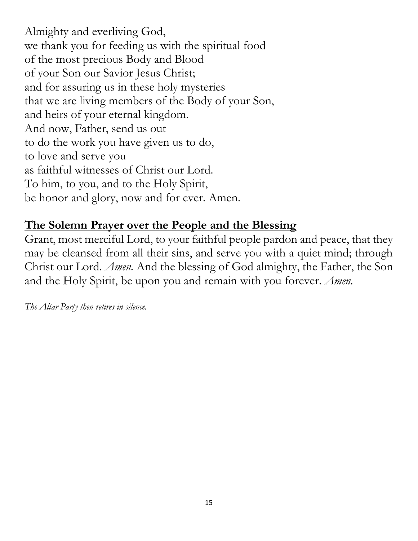Almighty and everliving God, we thank you for feeding us with the spiritual food of the most precious Body and Blood of your Son our Savior Jesus Christ; and for assuring us in these holy mysteries that we are living members of the Body of your Son, and heirs of your eternal kingdom. And now, Father, send us out to do the work you have given us to do, to love and serve you as faithful witnesses of Christ our Lord. To him, to you, and to the Holy Spirit, be honor and glory, now and for ever. Amen.

# **The Solemn Prayer over the People and the Blessing**

Grant, most merciful Lord, to your faithful people pardon and peace, that they may be cleansed from all their sins, and serve you with a quiet mind; through Christ our Lord. *Amen.* And the blessing of God almighty, the Father, the Son and the Holy Spirit, be upon you and remain with you forever. *Amen.*

*The Altar Party then retires in silence.*